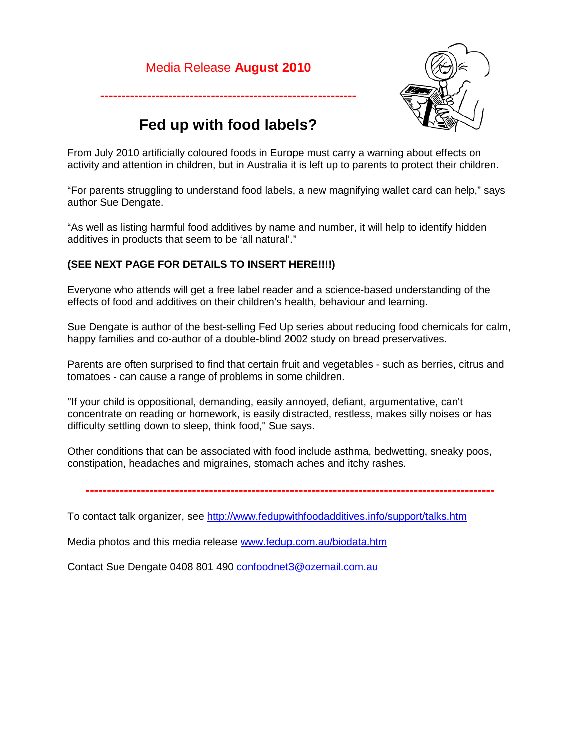## Media Release **August 2010**



# **Fed up with food labels?**

**------------------------------------------------------------**

From July 2010 artificially coloured foods in Europe must carry a warning about effects on activity and attention in children, but in Australia it is left up to parents to protect their children.

"For parents struggling to understand food labels, a new magnifying wallet card can help," says author Sue Dengate.

"As well as listing harmful food additives by name and number, it will help to identify hidden additives in products that seem to be 'all natural'."

#### **(SEE NEXT PAGE FOR DETAILS TO INSERT HERE!!!!)**

Everyone who attends will get a free label reader and a science-based understanding of the effects of food and additives on their children's health, behaviour and learning.

Sue Dengate is author of the best-selling Fed Up series about reducing food chemicals for calm, happy families and co-author of a double-blind 2002 study on bread preservatives.

Parents are often surprised to find that certain fruit and vegetables - such as berries, citrus and tomatoes - can cause a range of problems in some children.

"If your child is oppositional, demanding, easily annoyed, defiant, argumentative, can't concentrate on reading or homework, is easily distracted, restless, makes silly noises or has difficulty settling down to sleep, think food," Sue says.

Other conditions that can be associated with food include asthma, bedwetting, sneaky poos, constipation, headaches and migraines, stomach aches and itchy rashes.

**------------------------------------------------------------------------------------------------**

To contact talk organizer, see<http://www.fedupwithfoodadditives.info/support/talks.htm>

Media photos and this media release [www.fedup.com.au/biodata.htm](http://www.fedup.com.au/biodata.htm)

Contact Sue Dengate 0408 801 490 confoodnet3@ozemail.com.au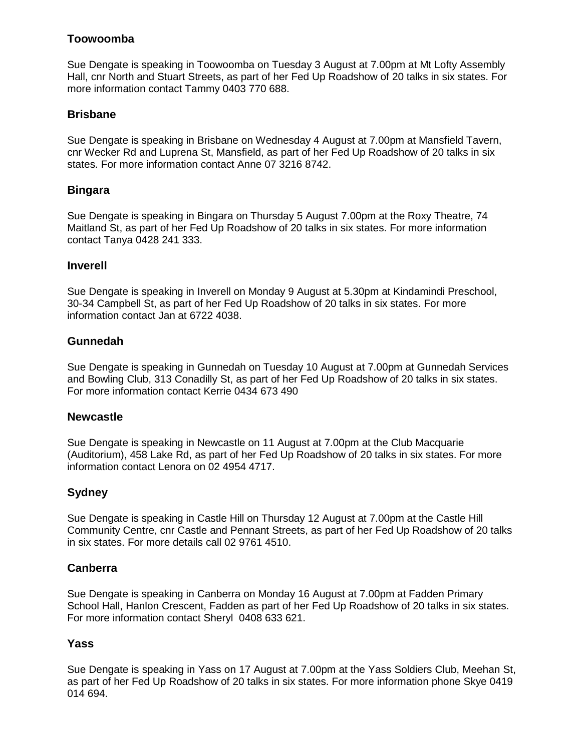## **Toowoomba**

Sue Dengate is speaking in Toowoomba on Tuesday 3 August at 7.00pm at Mt Lofty Assembly Hall, cnr North and Stuart Streets, as part of her Fed Up Roadshow of 20 talks in six states. For more information contact Tammy 0403 770 688.

## **Brisbane**

Sue Dengate is speaking in Brisbane on Wednesday 4 August at 7.00pm at Mansfield Tavern, cnr Wecker Rd and Luprena St, Mansfield, as part of her Fed Up Roadshow of 20 talks in six states. For more information contact Anne 07 3216 8742.

## **Bingara**

Sue Dengate is speaking in Bingara on Thursday 5 August 7.00pm at the Roxy Theatre, 74 Maitland St, as part of her Fed Up Roadshow of 20 talks in six states. For more information contact Tanya 0428 241 333.

## **Inverell**

Sue Dengate is speaking in Inverell on Monday 9 August at 5.30pm at Kindamindi Preschool, 30-34 Campbell St, as part of her Fed Up Roadshow of 20 talks in six states. For more information contact Jan at 6722 4038.

## **Gunnedah**

Sue Dengate is speaking in Gunnedah on Tuesday 10 August at 7.00pm at Gunnedah Services and Bowling Club, 313 Conadilly St, as part of her Fed Up Roadshow of 20 talks in six states. For more information contact Kerrie 0434 673 490

## **Newcastle**

Sue Dengate is speaking in Newcastle on 11 August at 7.00pm at the Club Macquarie (Auditorium), 458 Lake Rd, as part of her Fed Up Roadshow of 20 talks in six states. For more information contact Lenora on 02 4954 4717.

## **Sydney**

Sue Dengate is speaking in Castle Hill on Thursday 12 August at 7.00pm at the Castle Hill Community Centre, cnr Castle and Pennant Streets, as part of her Fed Up Roadshow of 20 talks in six states. For more details call 02 9761 4510.

## **Canberra**

Sue Dengate is speaking in Canberra on Monday 16 August at 7.00pm at Fadden Primary School Hall, Hanlon Crescent, Fadden as part of her Fed Up Roadshow of 20 talks in six states. For more information contact Sheryl 0408 633 621.

## **Yass**

Sue Dengate is speaking in Yass on 17 August at 7.00pm at the Yass Soldiers Club, Meehan St, as part of her Fed Up Roadshow of 20 talks in six states. For more information phone Skye 0419 014 694.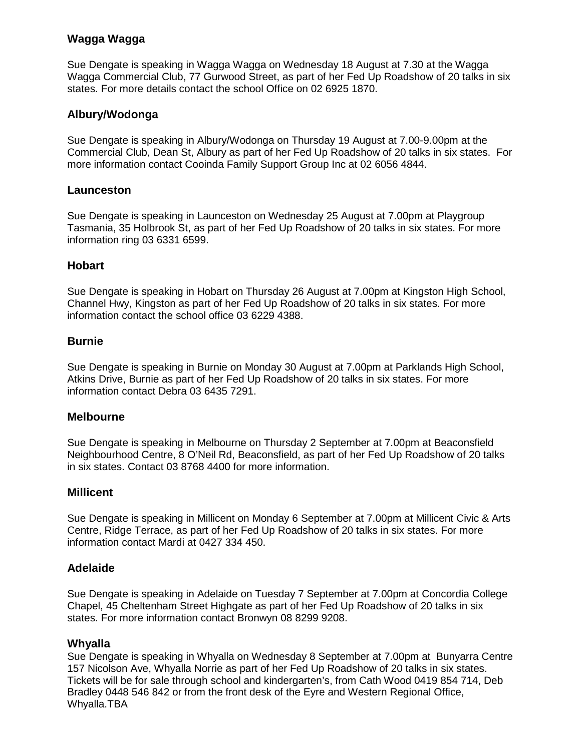## **Wagga Wagga**

Sue Dengate is speaking in Wagga Wagga on Wednesday 18 August at 7.30 at the Wagga Wagga Commercial Club, 77 Gurwood Street, as part of her Fed Up Roadshow of 20 talks in six states. For more details contact the school Office on 02 6925 1870.

#### **Albury/Wodonga**

Sue Dengate is speaking in Albury/Wodonga on Thursday 19 August at 7.00-9.00pm at the Commercial Club, Dean St, Albury as part of her Fed Up Roadshow of 20 talks in six states. For more information contact Cooinda Family Support Group Inc at 02 6056 4844.

#### **Launceston**

Sue Dengate is speaking in Launceston on Wednesday 25 August at 7.00pm at Playgroup Tasmania, 35 Holbrook St, as part of her Fed Up Roadshow of 20 talks in six states. For more information ring 03 6331 6599.

#### **Hobart**

Sue Dengate is speaking in Hobart on Thursday 26 August at 7.00pm at Kingston High School, Channel Hwy, Kingston as part of her Fed Up Roadshow of 20 talks in six states. For more information contact the school office 03 6229 4388.

#### **Burnie**

Sue Dengate is speaking in Burnie on Monday 30 August at 7.00pm at Parklands High School, Atkins Drive, Burnie as part of her Fed Up Roadshow of 20 talks in six states. For more information contact Debra 03 6435 7291.

#### **Melbourne**

Sue Dengate is speaking in Melbourne on Thursday 2 September at 7.00pm at Beaconsfield Neighbourhood Centre, 8 O'Neil Rd, Beaconsfield, as part of her Fed Up Roadshow of 20 talks in six states. Contact 03 8768 4400 for more information.

#### **Millicent**

Sue Dengate is speaking in Millicent on Monday 6 September at 7.00pm at Millicent Civic & Arts Centre, Ridge Terrace, as part of her Fed Up Roadshow of 20 talks in six states. For more information contact Mardi at 0427 334 450.

#### **Adelaide**

Sue Dengate is speaking in Adelaide on Tuesday 7 September at 7.00pm at Concordia College Chapel, 45 Cheltenham Street Highgate as part of her Fed Up Roadshow of 20 talks in six states. For more information contact Bronwyn 08 8299 9208.

#### **Whyalla**

Sue Dengate is speaking in Whyalla on Wednesday 8 September at 7.00pm at Bunyarra Centre 157 Nicolson Ave, Whyalla Norrie as part of her Fed Up Roadshow of 20 talks in six states. Tickets will be for sale through school and kindergarten's, from Cath Wood 0419 854 714, Deb Bradley 0448 546 842 or from the front desk of the Eyre and Western Regional Office, Whyalla.TBA